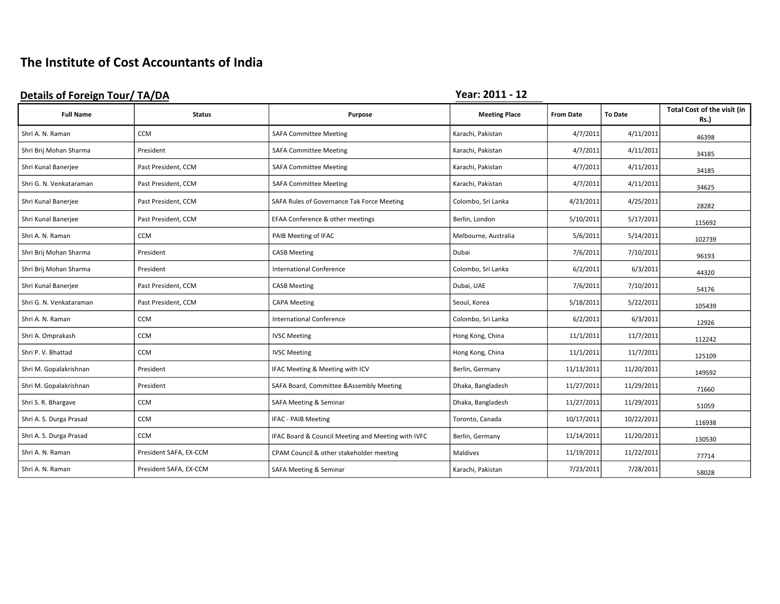# The Institute of Cost Accountants of India

| <b>Details of Foreign Tour/ TA/DA</b> |                        |                                                    | Year: 2011 - 12      |                  |                |                                            |
|---------------------------------------|------------------------|----------------------------------------------------|----------------------|------------------|----------------|--------------------------------------------|
| <b>Full Name</b>                      | <b>Status</b>          | <b>Purpose</b>                                     | <b>Meeting Place</b> | <b>From Date</b> | <b>To Date</b> | Total Cost of the visit (in<br><b>Rs.)</b> |
| Shri A. N. Raman                      | <b>CCM</b>             | <b>SAFA Committee Meeting</b>                      | Karachi, Pakistan    | 4/7/2011         | 4/11/2011      | 46398                                      |
| Shri Brij Mohan Sharma                | President              | <b>SAFA Committee Meeting</b>                      | Karachi, Pakistan    | 4/7/2011         | 4/11/2011      | 34185                                      |
| Shri Kunal Banerjee                   | Past President, CCM    | <b>SAFA Committee Meeting</b>                      | Karachi, Pakistan    | 4/7/2011         | 4/11/2011      | 34185                                      |
| Shri G. N. Venkataraman               | Past President, CCM    | <b>SAFA Committee Meeting</b>                      | Karachi, Pakistan    | 4/7/2011         | 4/11/2011      | 34625                                      |
| Shri Kunal Banerjee                   | Past President, CCM    | SAFA Rules of Governance Tak Force Meeting         | Colombo, Sri Lanka   | 4/23/2011        | 4/25/2011      | 28282                                      |
| Shri Kunal Banerjee                   | Past President, CCM    | EFAA Conference & other meetings                   | Berlin, London       | 5/10/2011        | 5/17/2011      | 115692                                     |
| Shri A. N. Raman                      | CCM                    | PAIB Meeting of IFAC                               | Melbourne, Australia | 5/6/2011         | 5/14/2011      | 102739                                     |
| Shri Brij Mohan Sharma                | President              | <b>CASB Meeting</b>                                | Dubai                | 7/6/2011         | 7/10/2011      | 96193                                      |
| Shri Brij Mohan Sharma                | President              | <b>International Conference</b>                    | Colombo, Sri Lanka   | 6/2/2011         | 6/3/2011       | 44320                                      |
| Shri Kunal Banerjee                   | Past President, CCM    | <b>CASB Meeting</b>                                | Dubai, UAE           | 7/6/2011         | 7/10/2011      | 54176                                      |
| Shri G. N. Venkataraman               | Past President, CCM    | <b>CAPA Meeting</b>                                | Seoul, Korea         | 5/18/2011        | 5/22/2011      | 105439                                     |
| Shri A. N. Raman                      | <b>CCM</b>             | <b>International Conference</b>                    | Colombo, Sri Lanka   | 6/2/2011         | 6/3/2011       | 12926                                      |
| Shri A. Omprakash                     | CCM                    | <b>IVSC Meeting</b>                                | Hong Kong, China     | 11/1/2011        | 11/7/2011      | 112242                                     |
| Shri P. V. Bhattad                    | <b>CCM</b>             | <b>IVSC Meeting</b>                                | Hong Kong, China     | 11/1/2011        | 11/7/2011      | 125109                                     |
| Shri M. Gopalakrishnan                | President              | IFAC Meeting & Meeting with ICV                    | Berlin, Germany      | 11/13/2011       | 11/20/2011     | 149592                                     |
| Shri M. Gopalakrishnan                | President              | SAFA Board, Committee & Assembly Meeting           | Dhaka, Bangladesh    | 11/27/2011       | 11/29/2011     | 71660                                      |
| Shri S. R. Bhargave                   | <b>CCM</b>             | <b>SAFA Meeting &amp; Seminar</b>                  | Dhaka, Bangladesh    | 11/27/2011       | 11/29/2011     | 51059                                      |
| Shri A. S. Durga Prasad               | CCM                    | <b>IFAC - PAIB Meeting</b>                         | Toronto, Canada      | 10/17/2011       | 10/22/2011     | 116938                                     |
| Shri A. S. Durga Prasad               | CCM                    | IFAC Board & Council Meeting and Meeting with IVFC | Berlin, Germany      | 11/14/2011       | 11/20/2011     | 130530                                     |
| Shri A. N. Raman                      | President SAFA, EX-CCM | CPAM Council & other stakeholder meeting           | Maldives             | 11/19/2011       | 11/22/2011     | 77714                                      |
| Shri A. N. Raman                      | President SAFA, EX-CCM | <b>SAFA Meeting &amp; Seminar</b>                  | Karachi, Pakistan    | 7/23/2011        | 7/28/2011      | 58028                                      |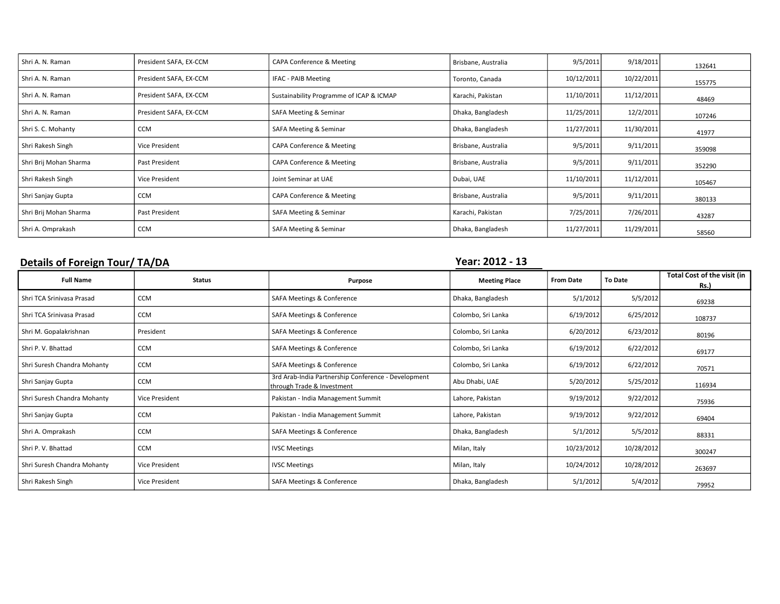| Shri A. N. Raman       | President SAFA, EX-CCM | <b>CAPA Conference &amp; Meeting</b>     | Brisbane, Australia | 9/5/2011   | 9/18/2011  | 132641 |
|------------------------|------------------------|------------------------------------------|---------------------|------------|------------|--------|
| Shri A. N. Raman       | President SAFA, EX-CCM | IFAC - PAIB Meeting                      | Toronto, Canada     | 10/12/2011 | 10/22/2011 | 155775 |
| Shri A. N. Raman       | President SAFA, EX-CCM | Sustainability Programme of ICAP & ICMAP | Karachi, Pakistan   | 11/10/2011 | 11/12/2011 | 48469  |
| Shri A. N. Raman       | President SAFA, EX-CCM | <b>SAFA Meeting &amp; Seminar</b>        | Dhaka, Bangladesh   | 11/25/2011 | 12/2/2011  | 107246 |
| Shri S. C. Mohanty     | <b>CCM</b>             | SAFA Meeting & Seminar                   | Dhaka, Bangladesh   | 11/27/2011 | 11/30/2011 | 41977  |
| Shri Rakesh Singh      | Vice President         | <b>CAPA Conference &amp; Meeting</b>     | Brisbane, Australia | 9/5/2011   | 9/11/2011  | 359098 |
| Shri Brij Mohan Sharma | Past President         | CAPA Conference & Meeting                | Brisbane, Australia | 9/5/2011   | 9/11/2011  | 352290 |
| Shri Rakesh Singh      | Vice President         | Joint Seminar at UAE                     | Dubai, UAE          | 11/10/2011 | 11/12/2011 | 105467 |
| Shri Sanjay Gupta      | <b>CCM</b>             | CAPA Conference & Meeting                | Brisbane, Australia | 9/5/2011   | 9/11/2011  | 380133 |
| Shri Brij Mohan Sharma | Past President         | SAFA Meeting & Seminar                   | Karachi, Pakistan   | 7/25/2011  | 7/26/2011  | 43287  |
| Shri A. Omprakash      | <b>CCM</b>             | SAFA Meeting & Seminar                   | Dhaka, Bangladesh   | 11/27/2011 | 11/29/2011 | 58560  |

### Details of Foreign Tour/ TA/DA TAGE CONSERVERSE PROPERTY AND THE VERTILE PROPERTY OF THE VERTILE OF THE VERTILE

| <b>Full Name</b>            | <b>Status</b>         | Purpose                                                                           | <b>Meeting Place</b> | <b>From Date</b> | <b>To Date</b> | Total Cost of the visit (in<br><b>Rs.)</b> |
|-----------------------------|-----------------------|-----------------------------------------------------------------------------------|----------------------|------------------|----------------|--------------------------------------------|
| Shri TCA Srinivasa Prasad   | <b>CCM</b>            | SAFA Meetings & Conference                                                        | Dhaka, Bangladesh    | 5/1/2012         | 5/5/2012       | 69238                                      |
| Shri TCA Sriniyasa Prasad   | <b>CCM</b>            | SAFA Meetings & Conference                                                        | Colombo, Sri Lanka   | 6/19/2012        | 6/25/2012      | 108737                                     |
| Shri M. Gopalakrishnan      | President             | SAFA Meetings & Conference                                                        | Colombo, Sri Lanka   | 6/20/2012        | 6/23/2012      | 80196                                      |
| Shri P. V. Bhattad          | <b>CCM</b>            | SAFA Meetings & Conference                                                        | Colombo, Sri Lanka   | 6/19/2012        | 6/22/2012      | 69177                                      |
| Shri Suresh Chandra Mohanty | <b>CCM</b>            | SAFA Meetings & Conference                                                        | Colombo, Sri Lanka   | 6/19/2012        | 6/22/2012      | 70571                                      |
| Shri Sanjay Gupta           | <b>CCM</b>            | 3rd Arab-India Partnership Conference - Development<br>through Trade & Investment | Abu Dhabi, UAE       | 5/20/2012        | 5/25/2012      | 116934                                     |
| Shri Suresh Chandra Mohanty | Vice President        | Pakistan - India Management Summit                                                | Lahore, Pakistan     | 9/19/2012        | 9/22/2012      | 75936                                      |
| Shri Sanjay Gupta           | <b>CCM</b>            | Pakistan - India Management Summit                                                | Lahore, Pakistan     | 9/19/2012        | 9/22/2012      | 69404                                      |
| Shri A. Omprakash           | <b>CCM</b>            | SAFA Meetings & Conference                                                        | Dhaka, Bangladesh    | 5/1/2012         | 5/5/2012       | 88331                                      |
| Shri P. V. Bhattad          | <b>CCM</b>            | <b>IVSC Meetings</b>                                                              | Milan, Italy         | 10/23/2012       | 10/28/2012     | 300247                                     |
| Shri Suresh Chandra Mohanty | Vice President        | <b>IVSC Meetings</b>                                                              | Milan, Italy         | 10/24/2012       | 10/28/2012     | 263697                                     |
| Shri Rakesh Singh           | <b>Vice President</b> | SAFA Meetings & Conference                                                        | Dhaka, Bangladesh    | 5/1/2012         | 5/4/2012       | 79952                                      |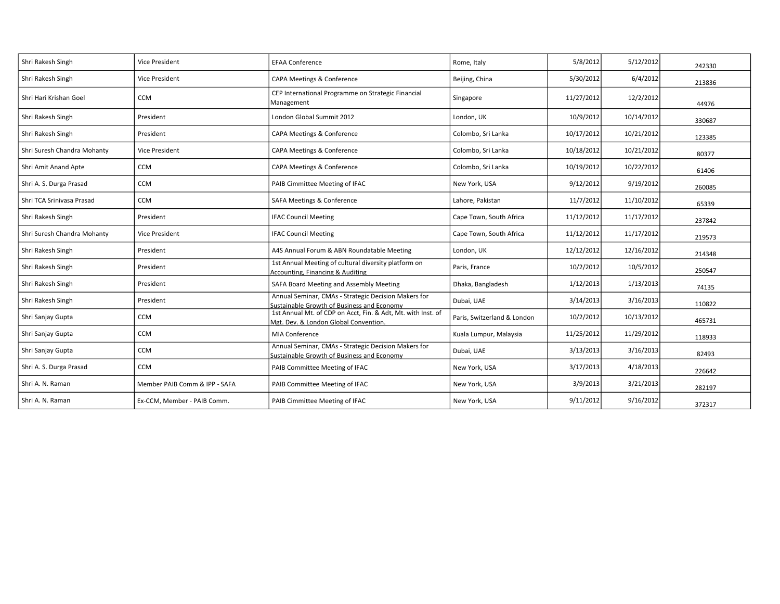| Shri Rakesh Singh           | Vice President                | <b>EFAA Conference</b>                                                                                | Rome, Italy                 | 5/8/2012   | 5/12/2012  | 242330 |
|-----------------------------|-------------------------------|-------------------------------------------------------------------------------------------------------|-----------------------------|------------|------------|--------|
| Shri Rakesh Singh           | <b>Vice President</b>         | CAPA Meetings & Conference                                                                            | Beijing, China              | 5/30/2012  | 6/4/2012   | 213836 |
| Shri Hari Krishan Goel      | CCM                           | CEP International Programme on Strategic Financial<br>Management                                      | Singapore                   | 11/27/2012 | 12/2/2012  | 44976  |
| Shri Rakesh Singh           | President                     | London Global Summit 2012                                                                             | London, UK                  | 10/9/2012  | 10/14/2012 | 330687 |
| Shri Rakesh Singh           | President                     | CAPA Meetings & Conference                                                                            | Colombo, Sri Lanka          | 10/17/2012 | 10/21/2012 | 123385 |
| Shri Suresh Chandra Mohanty | Vice President                | CAPA Meetings & Conference                                                                            | Colombo, Sri Lanka          | 10/18/2012 | 10/21/2012 | 80377  |
| Shri Amit Anand Apte        | CCM                           | CAPA Meetings & Conference                                                                            | Colombo, Sri Lanka          | 10/19/2012 | 10/22/2012 | 61406  |
| Shri A. S. Durga Prasad     | CCM                           | PAIB Cimmittee Meeting of IFAC                                                                        | New York, USA               | 9/12/2012  | 9/19/2012  | 260085 |
| Shri TCA Srinivasa Prasad   | CCM                           | SAFA Meetings & Conference                                                                            | Lahore, Pakistan            | 11/7/2012  | 11/10/2012 | 65339  |
| Shri Rakesh Singh           | President                     | <b>IFAC Council Meeting</b>                                                                           | Cape Town, South Africa     | 11/12/2012 | 11/17/2012 | 237842 |
| Shri Suresh Chandra Mohanty | Vice President                | <b>IFAC Council Meeting</b>                                                                           | Cape Town, South Africa     | 11/12/2012 | 11/17/2012 | 219573 |
| Shri Rakesh Singh           | President                     | A4S Annual Forum & ABN Roundatable Meeting                                                            | London, UK                  | 12/12/2012 | 12/16/2012 | 214348 |
| Shri Rakesh Singh           | President                     | 1st Annual Meeting of cultural diversity platform on<br>Accounting, Financing & Auditing              | Paris, France               | 10/2/2012  | 10/5/2012  | 250547 |
| Shri Rakesh Singh           | President                     | SAFA Board Meeting and Assembly Meeting                                                               | Dhaka, Bangladesh           | 1/12/2013  | 1/13/2013  | 74135  |
| Shri Rakesh Singh           | President                     | Annual Seminar, CMAs - Strategic Decision Makers for<br>Sustainable Growth of Business and Economy    | Dubai, UAE                  | 3/14/2013  | 3/16/2013  | 110822 |
| Shri Sanjay Gupta           | <b>CCM</b>                    | 1st Annual Mt. of CDP on Acct, Fin. & Adt, Mt. with Inst. of<br>Mgt. Dev. & London Global Convention. | Paris, Switzerland & London | 10/2/2012  | 10/13/2012 | 465731 |
| Shri Sanjay Gupta           | CCM                           | <b>MIA Conference</b>                                                                                 | Kuala Lumpur, Malaysia      | 11/25/2012 | 11/29/2012 | 118933 |
| Shri Sanjay Gupta           | CCM                           | Annual Seminar, CMAs - Strategic Decision Makers for<br>Sustainable Growth of Business and Economy    | Dubai, UAE                  | 3/13/2013  | 3/16/2013  | 82493  |
| Shri A. S. Durga Prasad     | <b>CCM</b>                    | PAIB Committee Meeting of IFAC                                                                        | New York, USA               | 3/17/2013  | 4/18/2013  | 226642 |
| Shri A. N. Raman            | Member PAIB Comm & IPP - SAFA | PAIB Committee Meeting of IFAC                                                                        | New York, USA               | 3/9/2013   | 3/21/2013  | 282197 |
| Shri A. N. Raman            | Ex-CCM, Member - PAIB Comm.   | PAIB Cimmittee Meeting of IFAC                                                                        | New York, USA               | 9/11/2012  | 9/16/2012  | 372317 |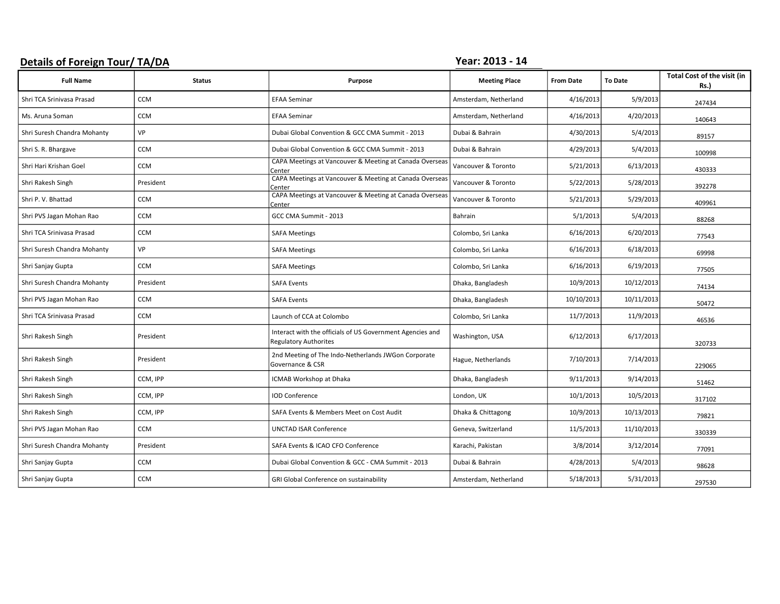#### Details of Foreign Tour/ TA/DA Year: 2013 - 14

| <b>Full Name</b>            | <b>Status</b> | Purpose                                                                                   | <b>Meeting Place</b>  | <b>From Date</b> | <b>To Date</b> | Total Cost of the visit (in<br><b>Rs.)</b> |
|-----------------------------|---------------|-------------------------------------------------------------------------------------------|-----------------------|------------------|----------------|--------------------------------------------|
| Shri TCA Srinivasa Prasad   | <b>CCM</b>    | <b>EFAA Seminar</b>                                                                       | Amsterdam, Netherland | 4/16/2013        | 5/9/2013       | 247434                                     |
| Ms. Aruna Soman             | <b>CCM</b>    | <b>EFAA Seminar</b>                                                                       | Amsterdam, Netherland | 4/16/2013        | 4/20/2013      | 140643                                     |
| Shri Suresh Chandra Mohanty | VP            | Dubai Global Convention & GCC CMA Summit - 2013                                           | Dubai & Bahrain       | 4/30/2013        | 5/4/2013       | 89157                                      |
| Shri S. R. Bhargave         | <b>CCM</b>    | Dubai Global Convention & GCC CMA Summit - 2013                                           | Dubai & Bahrain       | 4/29/2013        | 5/4/2013       | 100998                                     |
| Shri Hari Krishan Goel      | CCM           | CAPA Meetings at Vancouver & Meeting at Canada Overseas<br>Center                         | Vancouver & Toronto   | 5/21/2013        | 6/13/2013      | 430333                                     |
| Shri Rakesh Singh           | President     | CAPA Meetings at Vancouver & Meeting at Canada Overseas<br>Center                         | Vancouver & Toronto   | 5/22/2013        | 5/28/2013      | 392278                                     |
| Shri P. V. Bhattad          | <b>CCM</b>    | CAPA Meetings at Vancouver & Meeting at Canada Overseas<br>Center                         | Vancouver & Toronto   | 5/21/2013        | 5/29/2013      | 409961                                     |
| Shri PVS Jagan Mohan Rao    | CCM           | GCC CMA Summit - 2013                                                                     | Bahrain               | 5/1/2013         | 5/4/2013       | 88268                                      |
| Shri TCA Srinivasa Prasad   | <b>CCM</b>    | <b>SAFA Meetings</b>                                                                      | Colombo, Sri Lanka    | 6/16/2013        | 6/20/2013      | 77543                                      |
| Shri Suresh Chandra Mohanty | VP            | <b>SAFA Meetings</b>                                                                      | Colombo, Sri Lanka    | 6/16/2013        | 6/18/2013      | 69998                                      |
| Shri Sanjay Gupta           | <b>CCM</b>    | <b>SAFA Meetings</b>                                                                      | Colombo, Sri Lanka    | 6/16/2013        | 6/19/2013      | 77505                                      |
| Shri Suresh Chandra Mohanty | President     | <b>SAFA Events</b>                                                                        | Dhaka, Bangladesh     | 10/9/2013        | 10/12/2013     | 74134                                      |
| Shri PVS Jagan Mohan Rao    | <b>CCM</b>    | <b>SAFA Events</b>                                                                        | Dhaka, Bangladesh     | 10/10/2013       | 10/11/2013     | 50472                                      |
| Shri TCA Srinivasa Prasad   | <b>CCM</b>    | Launch of CCA at Colombo                                                                  | Colombo, Sri Lanka    | 11/7/2013        | 11/9/2013      | 46536                                      |
| Shri Rakesh Singh           | President     | Interact with the officials of US Government Agencies and<br><b>Regulatory Authorites</b> | Washington, USA       | 6/12/2013        | 6/17/2013      | 320733                                     |
| Shri Rakesh Singh           | President     | 2nd Meeting of The Indo-Netherlands JWGon Corporate<br>Governance & CSR                   | Hague, Netherlands    | 7/10/2013        | 7/14/2013      | 229065                                     |
| Shri Rakesh Singh           | CCM, IPP      | ICMAB Workshop at Dhaka                                                                   | Dhaka, Bangladesh     | 9/11/2013        | 9/14/2013      | 51462                                      |
| Shri Rakesh Singh           | CCM, IPP      | <b>IOD Conference</b>                                                                     | London, UK            | 10/1/2013        | 10/5/2013      | 317102                                     |
| Shri Rakesh Singh           | CCM, IPP      | SAFA Events & Members Meet on Cost Audit                                                  | Dhaka & Chittagong    | 10/9/2013        | 10/13/2013     | 79821                                      |
| Shri PVS Jagan Mohan Rao    | CCM           | <b>UNCTAD ISAR Conference</b>                                                             | Geneva, Switzerland   | 11/5/2013        | 11/10/2013     | 330339                                     |
| Shri Suresh Chandra Mohanty | President     | SAFA Events & ICAO CFO Conference                                                         | Karachi, Pakistan     | 3/8/2014         | 3/12/2014      | 77091                                      |
| Shri Sanjay Gupta           | <b>CCM</b>    | Dubai Global Convention & GCC - CMA Summit - 2013                                         | Dubai & Bahrain       | 4/28/2013        | 5/4/2013       | 98628                                      |
| Shri Sanjay Gupta           | <b>CCM</b>    | GRI Global Conference on sustainability                                                   | Amsterdam, Netherland | 5/18/2013        | 5/31/2013      | 297530                                     |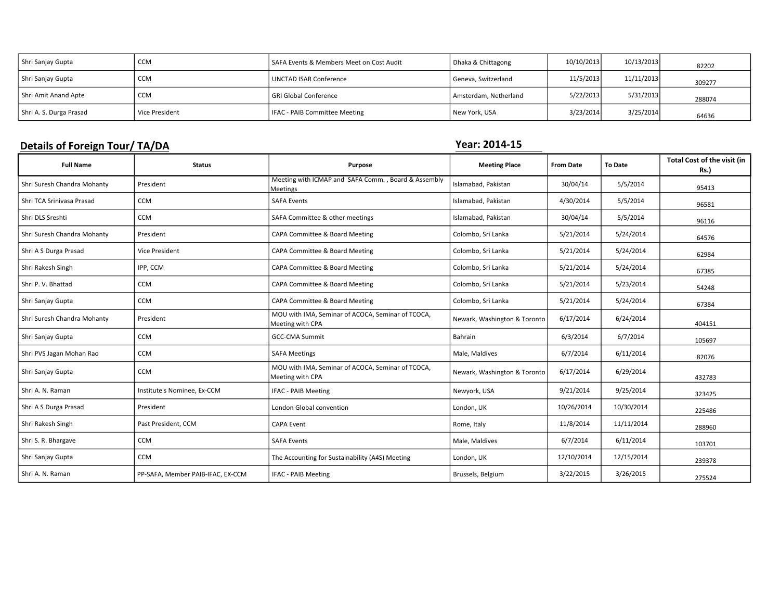| Shri Sanjay Gupta       | <b>CCM</b>     | SAFA Events & Members Meet on Cost Audit | Dhaka & Chittagong    | 10/10/2013 | 10/13/2013 | 82202  |
|-------------------------|----------------|------------------------------------------|-----------------------|------------|------------|--------|
| Shri Sanjay Gupta       | <b>CCM</b>     | UNCTAD ISAR Conference                   | Geneva, Switzerland   | 11/5/2013  | 11/11/2013 | 309277 |
| Shri Amit Anand Apte    | <b>CCM</b>     | l GRI Global Conference                  | Amsterdam, Netherland | 5/22/2013  | 5/31/2013  | 288074 |
| Shri A. S. Durga Prasad | Vice President | IFAC - PAIB Committee Meeting            | New York, USA         | 3/23/2014  | 3/25/2014  | 64636  |

### Details of Foreign Tour/ TA/DA TAGES AND THE SERVICE OF THE SERVICE OF THE SERVICE OF THE SERVICE OF THE SERVICE OF THE SERVICE OF THE SERVICE OF THE SERVICE OF THE SERVICE OF THE SERVICE OF THE SERVICE OF THE SERVICE OF T

| <b>Full Name</b>            | <b>Status</b>                     | Purpose                                                               | <b>Meeting Place</b>         | <b>From Date</b> | <b>To Date</b> | Total Cost of the visit (in<br><b>Rs.)</b> |
|-----------------------------|-----------------------------------|-----------------------------------------------------------------------|------------------------------|------------------|----------------|--------------------------------------------|
| Shri Suresh Chandra Mohanty | President                         | Meeting with ICMAP and SAFA Comm., Board & Assembly<br>Meetings       | Islamabad, Pakistan          | 30/04/14         | 5/5/2014       | 95413                                      |
| Shri TCA Srinivasa Prasad   | CCM                               | <b>SAFA Events</b>                                                    | Islamabad, Pakistan          | 4/30/2014        | 5/5/2014       | 96581                                      |
| Shri DLS Sreshti            | CCM                               | SAFA Committee & other meetings                                       | Islamabad, Pakistan          | 30/04/14         | 5/5/2014       | 96116                                      |
| Shri Suresh Chandra Mohanty | President                         | CAPA Committee & Board Meeting                                        | Colombo, Sri Lanka           | 5/21/2014        | 5/24/2014      | 64576                                      |
| Shri A S Durga Prasad       | Vice President                    | CAPA Committee & Board Meeting                                        | Colombo, Sri Lanka           | 5/21/2014        | 5/24/2014      | 62984                                      |
| Shri Rakesh Singh           | IPP, CCM                          | CAPA Committee & Board Meeting                                        | Colombo, Sri Lanka           | 5/21/2014        | 5/24/2014      | 67385                                      |
| Shri P. V. Bhattad          | CCM                               | CAPA Committee & Board Meeting                                        | Colombo, Sri Lanka           | 5/21/2014        | 5/23/2014      | 54248                                      |
| Shri Sanjay Gupta           | CCM                               | CAPA Committee & Board Meeting                                        | Colombo, Sri Lanka           | 5/21/2014        | 5/24/2014      | 67384                                      |
| Shri Suresh Chandra Mohanty | President                         | MOU with IMA, Seminar of ACOCA, Seminar of TCOCA,<br>Meeting with CPA | Newark, Washington & Toronto | 6/17/2014        | 6/24/2014      | 404151                                     |
| Shri Sanjay Gupta           | CCM                               | <b>GCC-CMA Summit</b>                                                 | Bahrain                      | 6/3/2014         | 6/7/2014       | 105697                                     |
| Shri PVS Jagan Mohan Rao    | <b>CCM</b>                        | <b>SAFA Meetings</b>                                                  | Male, Maldives               | 6/7/2014         | 6/11/2014      | 82076                                      |
| Shri Sanjay Gupta           | <b>CCM</b>                        | MOU with IMA, Seminar of ACOCA, Seminar of TCOCA,<br>Meeting with CPA | Newark, Washington & Toronto | 6/17/2014        | 6/29/2014      | 432783                                     |
| Shri A. N. Raman            | Institute's Nominee, Ex-CCM       | <b>IFAC - PAIB Meeting</b>                                            | Newyork, USA                 | 9/21/2014        | 9/25/2014      | 323425                                     |
| Shri A S Durga Prasad       | President                         | London Global convention                                              | London, UK                   | 10/26/2014       | 10/30/2014     | 225486                                     |
| Shri Rakesh Singh           | Past President, CCM               | <b>CAPA Event</b>                                                     | Rome, Italy                  | 11/8/2014        | 11/11/2014     | 288960                                     |
| Shri S. R. Bhargave         | <b>CCM</b>                        | <b>SAFA Events</b>                                                    | Male, Maldives               | 6/7/2014         | 6/11/2014      | 103701                                     |
| Shri Sanjay Gupta           | <b>CCM</b>                        | The Accounting for Sustainability (A4S) Meeting                       | London, UK                   | 12/10/2014       | 12/15/2014     | 239378                                     |
| Shri A. N. Raman            | PP-SAFA, Member PAIB-IFAC, EX-CCM | IFAC - PAIB Meeting                                                   | Brussels, Belgium            | 3/22/2015        | 3/26/2015      | 275524                                     |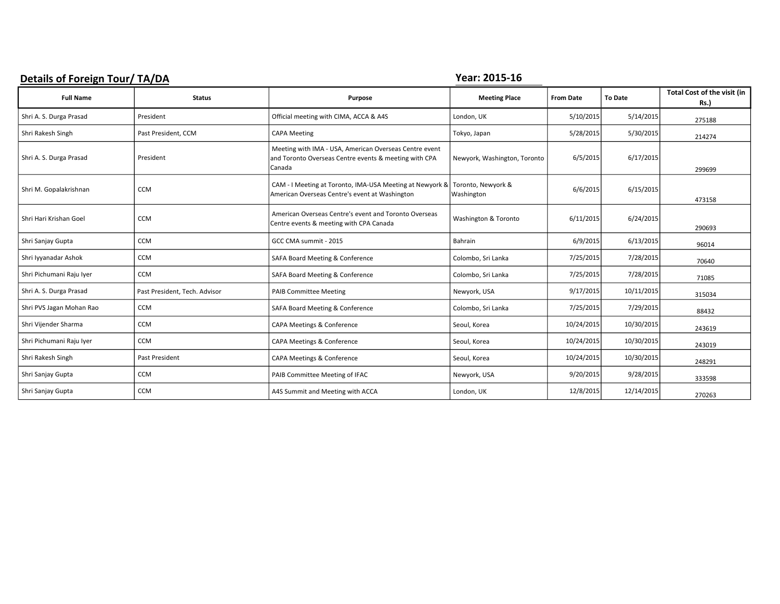## Details of Foreign Tour/ TA/DA The Contract of Table 10 and Table 10 and Table 10 and Table 10 and Table 10 and Table 10 and Table 10 and Table 10 and Table 10 and Table 10 and Table 10 and Table 10 and Table 10 and Table

| <b>Full Name</b>         | <b>Status</b>                 | Purpose                                                                                                                   | <b>Meeting Place</b>             | <b>From Date</b> | <b>To Date</b> | Total Cost of the visit (in<br>Rs.) |
|--------------------------|-------------------------------|---------------------------------------------------------------------------------------------------------------------------|----------------------------------|------------------|----------------|-------------------------------------|
| Shri A. S. Durga Prasad  | President                     | Official meeting with CIMA, ACCA & A4S                                                                                    | London, UK                       | 5/10/2015        | 5/14/2015      | 275188                              |
| Shri Rakesh Singh        | Past President, CCM           | <b>CAPA Meeting</b>                                                                                                       | Tokyo, Japan                     | 5/28/2015        | 5/30/2015      | 214274                              |
| Shri A. S. Durga Prasad  | President                     | Meeting with IMA - USA, American Overseas Centre event<br>and Toronto Overseas Centre events & meeting with CPA<br>Canada | Newyork, Washington, Toronto     | 6/5/2015         | 6/17/2015      | 299699                              |
| Shri M. Gopalakrishnan   | <b>CCM</b>                    | CAM - I Meeting at Toronto, IMA-USA Meeting at Newyork &<br>American Overseas Centre's event at Washington                | Toronto, Newyork &<br>Washington | 6/6/2015         | 6/15/2015      | 473158                              |
| Shri Hari Krishan Goel   | <b>CCM</b>                    | American Overseas Centre's event and Toronto Overseas<br>Centre events & meeting with CPA Canada                          | Washington & Toronto             | 6/11/2015        | 6/24/2015      | 290693                              |
| Shri Sanjay Gupta        | <b>CCM</b>                    | GCC CMA summit - 2015                                                                                                     | Bahrain                          | 6/9/2015         | 6/13/2015      | 96014                               |
| Shri Iyyanadar Ashok     | <b>CCM</b>                    | SAFA Board Meeting & Conference                                                                                           | Colombo, Sri Lanka               | 7/25/2015        | 7/28/2015      | 70640                               |
| Shri Pichumani Raju Iyer | <b>CCM</b>                    | SAFA Board Meeting & Conference                                                                                           | Colombo, Sri Lanka               | 7/25/2015        | 7/28/2015      | 71085                               |
| Shri A. S. Durga Prasad  | Past President, Tech. Advisor | <b>PAIB Committee Meeting</b>                                                                                             | Newyork, USA                     | 9/17/2015        | 10/11/2015     | 315034                              |
| Shri PVS Jagan Mohan Rao | <b>CCM</b>                    | SAFA Board Meeting & Conference                                                                                           | Colombo, Sri Lanka               | 7/25/2015        | 7/29/2015      | 88432                               |
| Shri Vijender Sharma     | <b>CCM</b>                    | CAPA Meetings & Conference                                                                                                | Seoul, Korea                     | 10/24/2015       | 10/30/2015     | 243619                              |
| Shri Pichumani Raju Iyer | <b>CCM</b>                    | CAPA Meetings & Conference                                                                                                | Seoul, Korea                     | 10/24/2015       | 10/30/2015     | 243019                              |
| Shri Rakesh Singh        | Past President                | CAPA Meetings & Conference                                                                                                | Seoul, Korea                     | 10/24/2015       | 10/30/2015     | 248291                              |
| Shri Sanjay Gupta        | <b>CCM</b>                    | PAIB Committee Meeting of IFAC                                                                                            | Newyork, USA                     | 9/20/2015        | 9/28/2015      | 333598                              |
| Shri Sanjay Gupta        | <b>CCM</b>                    | A4S Summit and Meeting with ACCA                                                                                          | London, UK                       | 12/8/2015        | 12/14/2015     | 270263                              |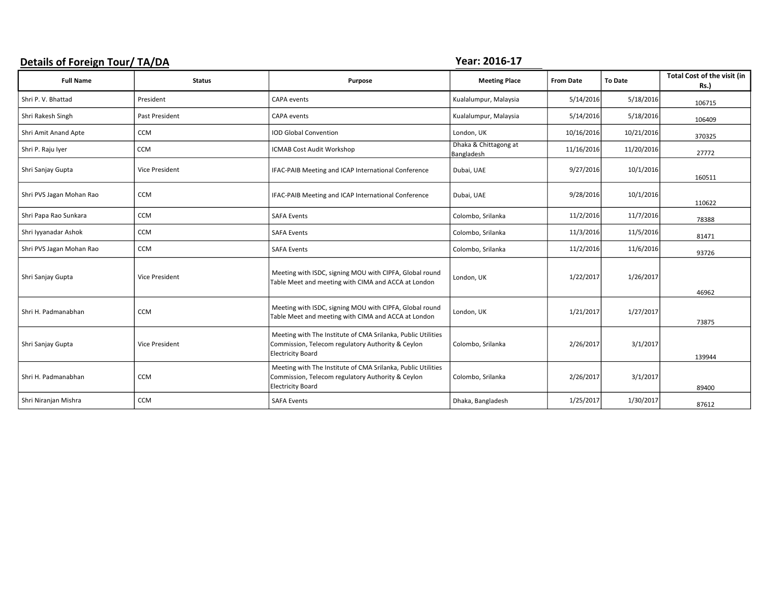### Details of Foreign Tour/ TA/DA TAGE TO THE SERVICE OF THE SERVICE OF THE SERVICE OF THE SERVICE OF THE SERVICE OF THE SERVICE OF THE SERVICE OF THE SERVICE OF THE SERVICE OF THE SERVICE OF THE SERVICE OF THE SERVICE OF THE

| <b>Full Name</b>         | <b>Status</b>         | Purpose                                                                                                                                       | <b>Meeting Place</b>                | <b>From Date</b> | <b>To Date</b> | Total Cost of the visit (in<br><b>Rs.)</b> |
|--------------------------|-----------------------|-----------------------------------------------------------------------------------------------------------------------------------------------|-------------------------------------|------------------|----------------|--------------------------------------------|
| Shri P. V. Bhattad       | President             | CAPA events                                                                                                                                   | Kualalumpur, Malaysia               | 5/14/2016        | 5/18/2016      | 106715                                     |
| Shri Rakesh Singh        | Past President        | CAPA events                                                                                                                                   | Kualalumpur, Malaysia               | 5/14/2016        | 5/18/2016      | 106409                                     |
| Shri Amit Anand Apte     | <b>CCM</b>            | <b>IOD Global Convention</b>                                                                                                                  | London, UK                          | 10/16/2016       | 10/21/2016     | 370325                                     |
| Shri P. Raju Iyer        | CCM                   | ICMAB Cost Audit Workshop                                                                                                                     | Dhaka & Chittagong at<br>Bangladesh | 11/16/2016       | 11/20/2016     | 27772                                      |
| Shri Sanjay Gupta        | <b>Vice President</b> | IFAC-PAIB Meeting and ICAP International Conference                                                                                           | Dubai, UAE                          | 9/27/2016        | 10/1/2016      | 160511                                     |
| Shri PVS Jagan Mohan Rao | CCM                   | IFAC-PAIB Meeting and ICAP International Conference                                                                                           | Dubai, UAE                          | 9/28/2016        | 10/1/2016      | 110622                                     |
| Shri Papa Rao Sunkara    | <b>CCM</b>            | <b>SAFA Events</b>                                                                                                                            | Colombo, Srilanka                   | 11/2/2016        | 11/7/2016      | 78388                                      |
| Shri Iyyanadar Ashok     | <b>CCM</b>            | <b>SAFA Events</b>                                                                                                                            | Colombo, Srilanka                   | 11/3/2016        | 11/5/2016      | 81471                                      |
| Shri PVS Jagan Mohan Rao | CCM                   | <b>SAFA Events</b>                                                                                                                            | Colombo, Srilanka                   | 11/2/2016        | 11/6/2016      | 93726                                      |
| Shri Sanjay Gupta        | <b>Vice President</b> | Meeting with ISDC, signing MOU with CIPFA, Global round<br>Table Meet and meeting with CIMA and ACCA at London                                | London, UK                          | 1/22/2017        | 1/26/2017      | 46962                                      |
| Shri H. Padmanabhan      | <b>CCM</b>            | Meeting with ISDC, signing MOU with CIPFA, Global round<br>Table Meet and meeting with CIMA and ACCA at London                                | London, UK                          | 1/21/2017        | 1/27/2017      | 73875                                      |
| Shri Sanjay Gupta        | <b>Vice President</b> | Meeting with The Institute of CMA Srilanka, Public Utilities<br>Commission, Telecom regulatory Authority & Ceylon<br><b>Electricity Board</b> | Colombo, Srilanka                   | 2/26/2017        | 3/1/2017       | 139944                                     |
| Shri H. Padmanabhan      | <b>CCM</b>            | Meeting with The Institute of CMA Srilanka, Public Utilities<br>Commission, Telecom regulatory Authority & Ceylon<br><b>Electricity Board</b> | Colombo, Srilanka                   | 2/26/2017        | 3/1/2017       | 89400                                      |
| Shri Niranjan Mishra     | CCM                   | <b>SAFA Events</b>                                                                                                                            | Dhaka, Bangladesh                   | 1/25/2017        | 1/30/2017      | 87612                                      |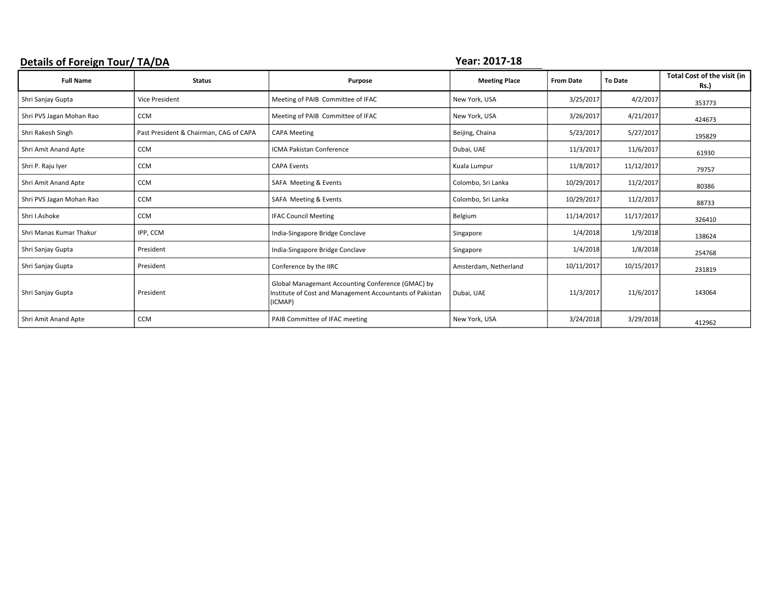### Details of Foreign Tour/ TA/DA TAGE AND THE SERVICE OF THE SERVICE OF THE SERVICE OF THE SERVICE OF THE SERVICE OF THE SERVICE OF THE SERVICE OF THE SERVICE OF THE SERVICE OF THE SERVICE OF THE SERVICE OF THE SERVICE OF TH

| <b>Full Name</b>         | <b>Status</b>                          | Purpose                                                                                                                  | <b>Meeting Place</b>  | <b>From Date</b> | <b>To Date</b> | Total Cost of the visit (in<br><b>Rs.)</b> |
|--------------------------|----------------------------------------|--------------------------------------------------------------------------------------------------------------------------|-----------------------|------------------|----------------|--------------------------------------------|
| Shri Sanjay Gupta        | <b>Vice President</b>                  | Meeting of PAIB Committee of IFAC                                                                                        | New York, USA         | 3/25/2017        | 4/2/2017       | 353773                                     |
| Shri PVS Jagan Mohan Rao | <b>CCM</b>                             | Meeting of PAIB Committee of IFAC                                                                                        | New York, USA         | 3/26/2017        | 4/21/2017      | 424673                                     |
| Shri Rakesh Singh        | Past President & Chairman, CAG of CAPA | <b>CAPA Meeting</b>                                                                                                      | Beijing, Chaina       | 5/23/2017        | 5/27/2017      | 195829                                     |
| Shri Amit Anand Apte     | <b>CCM</b>                             | <b>ICMA Pakistan Conference</b>                                                                                          | Dubai, UAE            | 11/3/2017        | 11/6/2017      | 61930                                      |
| Shri P. Raju Iyer        | <b>CCM</b>                             | <b>CAPA Events</b>                                                                                                       | Kuala Lumpur          | 11/8/2017        | 11/12/2017     | 79757                                      |
| Shri Amit Anand Apte     | <b>CCM</b>                             | SAFA Meeting & Events                                                                                                    | Colombo, Sri Lanka    | 10/29/2017       | 11/2/2017      | 80386                                      |
| Shri PVS Jagan Mohan Rao | <b>CCM</b>                             | SAFA Meeting & Events                                                                                                    | Colombo, Sri Lanka    | 10/29/2017       | 11/2/2017      | 88733                                      |
| Shri I.Ashoke            | <b>CCM</b>                             | <b>IFAC Council Meeting</b>                                                                                              | Belgium               | 11/14/2017       | 11/17/2017     | 326410                                     |
| Shri Manas Kumar Thakur  | IPP, CCM                               | India-Singapore Bridge Conclave                                                                                          | Singapore             | 1/4/2018         | 1/9/2018       | 138624                                     |
| Shri Sanjay Gupta        | President                              | India-Singapore Bridge Conclave                                                                                          | Singapore             | 1/4/2018         | 1/8/2018       | 254768                                     |
| Shri Sanjay Gupta        | President                              | Conference by the IIRC                                                                                                   | Amsterdam, Netherland | 10/11/2017       | 10/15/2017     | 231819                                     |
| Shri Sanjay Gupta        | President                              | Global Managemant Accounting Conference (GMAC) by<br>Institute of Cost and Management Accountants of Pakistan<br>(ICMAP) | Dubai, UAE            | 11/3/2017        | 11/6/2017      | 143064                                     |
| Shri Amit Anand Apte     | <b>CCM</b>                             | PAIB Committee of IFAC meeting                                                                                           | New York, USA         | 3/24/2018        | 3/29/2018      | 412962                                     |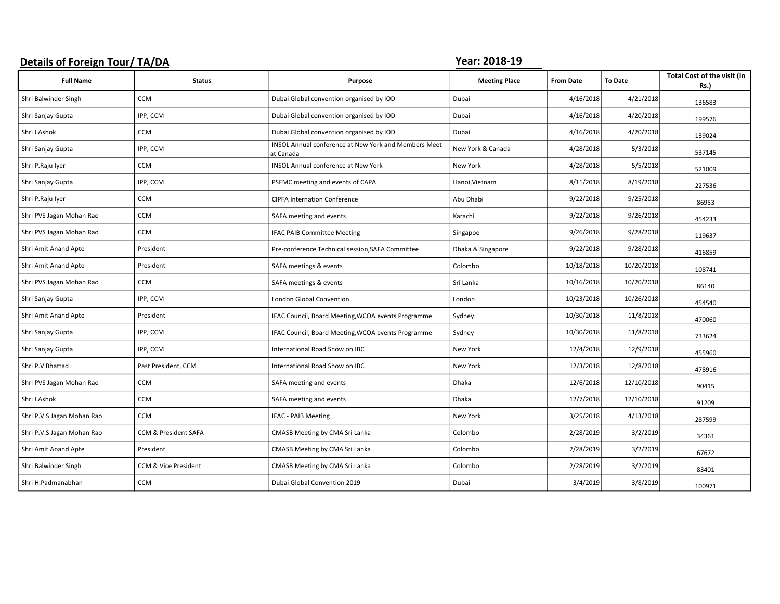#### Details of Foreign Tour/ TA/DA TAGE CONSERVERSE PROPERTY AND THE VERTILE OF PROPERTY AND THE VERTILE OF PROPERTY

| <b>Full Name</b>           | <b>Status</b>        | Purpose                                                                  | <b>Meeting Place</b> | <b>From Date</b> | <b>To Date</b> | Total Cost of the visit (in<br>Rs.) |
|----------------------------|----------------------|--------------------------------------------------------------------------|----------------------|------------------|----------------|-------------------------------------|
| Shri Balwinder Singh       | <b>CCM</b>           | Dubai Global convention organised by IOD                                 | Dubai                | 4/16/2018        | 4/21/2018      | 136583                              |
| Shri Sanjay Gupta          | IPP, CCM             | Dubai Global convention organised by IOD                                 | Dubai                | 4/16/2018        | 4/20/2018      | 199576                              |
| Shri I.Ashok               | <b>CCM</b>           | Dubai Global convention organised by IOD                                 | Dubai                | 4/16/2018        | 4/20/2018      | 139024                              |
| Shri Sanjay Gupta          | IPP, CCM             | <b>INSOL Annual conference at New York and Members Meet</b><br>at Canada | New York & Canada    | 4/28/2018        | 5/3/2018       | 537145                              |
| Shri P.Raju Iyer           | <b>CCM</b>           | <b>INSOL Annual conference at New York</b>                               | <b>New York</b>      | 4/28/2018        | 5/5/2018       | 521009                              |
| Shri Sanjay Gupta          | IPP, CCM             | PSFMC meeting and events of CAPA                                         | Hanoi, Vietnam       | 8/11/2018        | 8/19/2018      | 227536                              |
| Shri P.Raju Iyer           | <b>CCM</b>           | <b>CIPFA Internation Conference</b>                                      | Abu Dhabi            | 9/22/2018        | 9/25/2018      | 86953                               |
| Shri PVS Jagan Mohan Rao   | <b>CCM</b>           | SAFA meeting and events                                                  | Karachi              | 9/22/2018        | 9/26/2018      | 454233                              |
| Shri PVS Jagan Mohan Rao   | <b>CCM</b>           | <b>IFAC PAIB Committee Meeting</b>                                       | Singapoe             | 9/26/2018        | 9/28/2018      | 119637                              |
| Shri Amit Anand Apte       | President            | Pre-conference Technical session, SAFA Committee                         | Dhaka & Singapore    | 9/22/2018        | 9/28/2018      | 416859                              |
| Shri Amit Anand Apte       | President            | SAFA meetings & events                                                   | Colombo              | 10/18/2018       | 10/20/2018     | 108741                              |
| Shri PVS Jagan Mohan Rao   | CCM                  | SAFA meetings & events                                                   | Sri Lanka            | 10/16/2018       | 10/20/2018     | 86140                               |
| Shri Sanjay Gupta          | IPP, CCM             | London Global Convention                                                 | London               | 10/23/2018       | 10/26/2018     | 454540                              |
| Shri Amit Anand Apte       | President            | IFAC Council, Board Meeting, WCOA events Programme                       | Sydney               | 10/30/2018       | 11/8/2018      | 470060                              |
| Shri Sanjay Gupta          | IPP, CCM             | IFAC Council, Board Meeting, WCOA events Programme                       | Sydney               | 10/30/2018       | 11/8/2018      | 733624                              |
| Shri Sanjay Gupta          | IPP, CCM             | International Road Show on IBC                                           | New York             | 12/4/2018        | 12/9/2018      | 455960                              |
| Shri P.V Bhattad           | Past President, CCM  | International Road Show on IBC                                           | New York             | 12/3/2018        | 12/8/2018      | 478916                              |
| Shri PVS Jagan Mohan Rao   | <b>CCM</b>           | SAFA meeting and events                                                  | <b>Dhaka</b>         | 12/6/2018        | 12/10/2018     | 90415                               |
| Shri I.Ashok               | <b>CCM</b>           | SAFA meeting and events                                                  | <b>Dhaka</b>         | 12/7/2018        | 12/10/2018     | 91209                               |
| Shri P.V.S Jagan Mohan Rao | <b>CCM</b>           | IFAC - PAIB Meeting                                                      | <b>New York</b>      | 3/25/2018        | 4/13/2018      | 287599                              |
| Shri P.V.S Jagan Mohan Rao | CCM & President SAFA | CMASB Meeting by CMA Sri Lanka                                           | Colombo              | 2/28/2019        | 3/2/2019       | 34361                               |
| Shri Amit Anand Apte       | President            | CMASB Meeting by CMA Sri Lanka                                           | Colombo              | 2/28/2019        | 3/2/2019       | 67672                               |
| Shri Balwinder Singh       | CCM & Vice President | CMASB Meeting by CMA Sri Lanka                                           | Colombo              | 2/28/2019        | 3/2/2019       | 83401                               |
| Shri H.Padmanabhan         | <b>CCM</b>           | Dubai Global Convention 2019                                             | Dubai                | 3/4/2019         | 3/8/2019       | 100971                              |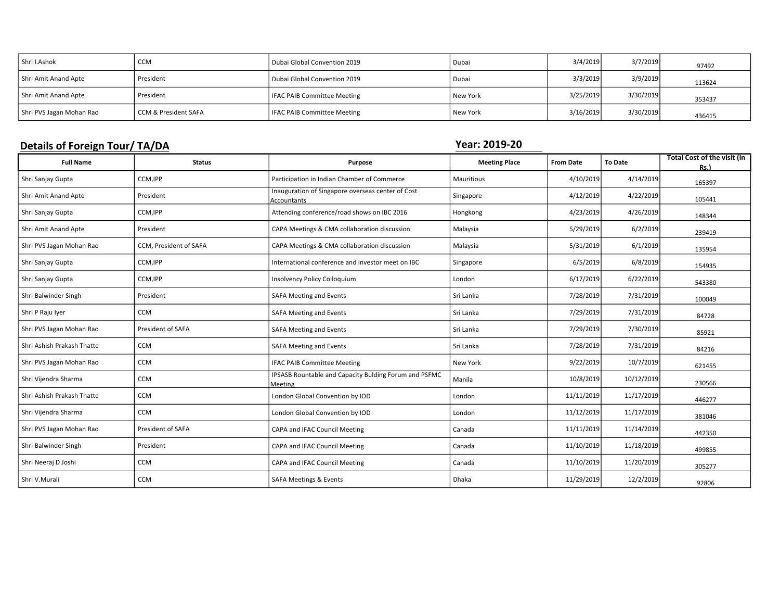| Shri I.Ashok             | <b>CCM</b>           | Dubai Global Convention 2019       | Dubai      | 3/4/2019  | 3/7/2019  | 97492  |
|--------------------------|----------------------|------------------------------------|------------|-----------|-----------|--------|
| Shri Amit Anand Apte     | President            | Dubai Global Convention 2019       | Dubai      | 3/3/2019  | 3/9/2019  | 113624 |
| Shri Amit Anand Apte     | President            | IFAC PAIB Committee Meeting        | New York   | 3/25/2019 | 3/30/2019 | 353437 |
| Shri PVS Jagan Mohan Rao | CCM & President SAFA | <b>IFAC PAIB Committee Meeting</b> | l New York | 3/16/2019 | 3/30/2019 | 436415 |

### Details of Foreign Tour/ TA/DA TAGE CONSERVERSE PROPERTY AND THE VERTILE OF THE VERTILE OF THE VERTILE OF THE VERTILE OF THE VERTILE OF THE VERTILE OF THE VERTILE OF THE VERTILE OF THE VERTILE OF THE VERTILE OF THE VERTILE

| <b>Full Name</b>           | <b>Status</b>          | Purpose                                                          | <b>Meeting Place</b> | <b>From Date</b> | <b>To Date</b> | Total Cost of the visit (in<br>Rs.) |
|----------------------------|------------------------|------------------------------------------------------------------|----------------------|------------------|----------------|-------------------------------------|
| Shri Sanjay Gupta          | CCM, IPP               | Participation in Indian Chamber of Commerce                      | Mauritious           | 4/10/2019        | 4/14/2019      | 165397                              |
| Shri Amit Anand Apte       | President              | Inauguration of Singapore overseas center of Cost<br>Accountants | Singapore            | 4/12/2019        | 4/22/2019      | 105441                              |
| Shri Sanjay Gupta          | CCM, IPP               | Attending conference/road shows on IBC 2016                      | Hongkong             | 4/23/2019        | 4/26/2019      | 148344                              |
| Shri Amit Anand Apte       | President              | CAPA Meetings & CMA collaboration discussion                     | Malaysia             | 5/29/2019        | 6/2/2019       | 239419                              |
| Shri PVS Jagan Mohan Rao   | CCM, President of SAFA | CAPA Meetings & CMA collaboration discussion                     | Malaysia             | 5/31/2019        | 6/1/2019       | 135954                              |
| Shri Sanjay Gupta          | CCM, IPP               | International conference and investor meet on IBC                | Singapore            | 6/5/2019         | 6/8/2019       | 154935                              |
| Shri Sanjay Gupta          | CCM, IPP               | <b>Insolvency Policy Colloquium</b>                              | London               | 6/17/2019        | 6/22/2019      | 543380                              |
| Shri Balwinder Singh       | President              | SAFA Meeting and Events                                          | Sri Lanka            | 7/28/2019        | 7/31/2019      | 100049                              |
| Shri P Raju Iyer           | <b>CCM</b>             | SAFA Meeting and Events                                          | Sri Lanka            | 7/29/2019        | 7/31/2019      | 84728                               |
| Shri PVS Jagan Mohan Rao   | President of SAFA      | SAFA Meeting and Events                                          | Sri Lanka            | 7/29/2019        | 7/30/2019      | 85921                               |
| Shri Ashish Prakash Thatte | <b>CCM</b>             | SAFA Meeting and Events                                          | Sri Lanka            | 7/28/2019        | 7/31/2019      | 84216                               |
| Shri PVS Jagan Mohan Rao   | <b>CCM</b>             | <b>IFAC PAIB Committee Meeting</b>                               | New York             | 9/22/2019        | 10/7/2019      | 621455                              |
| Shri Vijendra Sharma       | <b>CCM</b>             | IPSASB Rountable and Capacity Bulding Forum and PSFMC<br>Meeting | Manila               | 10/8/2019        | 10/12/2019     | 230566                              |
| Shri Ashish Prakash Thatte | <b>CCM</b>             | London Global Convention by IOD                                  | London               | 11/11/2019       | 11/17/2019     | 446277                              |
| Shri Vijendra Sharma       | <b>CCM</b>             | London Global Convention by IOD                                  | London               | 11/12/2019       | 11/17/2019     | 381046                              |
| Shri PVS Jagan Mohan Rao   | President of SAFA      | CAPA and IFAC Council Meeting                                    | Canada               | 11/11/2019       | 11/14/2019     | 442350                              |
| Shri Balwinder Singh       | President              | CAPA and IFAC Council Meeting                                    | Canada               | 11/10/2019       | 11/18/2019     | 499855                              |
| Shri Neeraj D Joshi        | <b>CCM</b>             | CAPA and IFAC Council Meeting                                    | Canada               | 11/10/2019       | 11/20/2019     | 305277                              |
| Shri V.Murali              | <b>CCM</b>             | SAFA Meetings & Events                                           | Dhaka                | 11/29/2019       | 12/2/2019      | 92806                               |